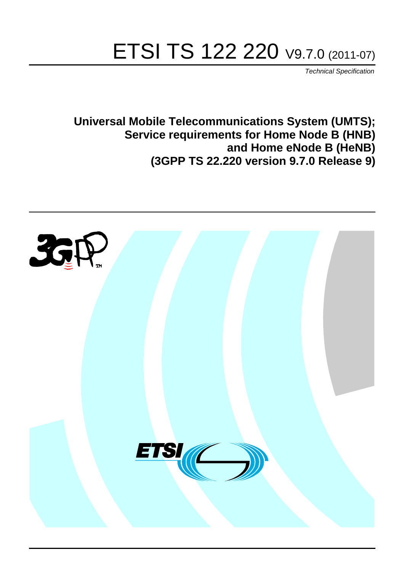# ETSI TS 122 220 V9.7.0 (2011-07)

*Technical Specification*

**Universal Mobile Telecommunications System (UMTS); Service requirements for Home Node B (HNB) and Home eNode B (HeNB) (3GPP TS 22.220 version 9.7.0 Release 9)**

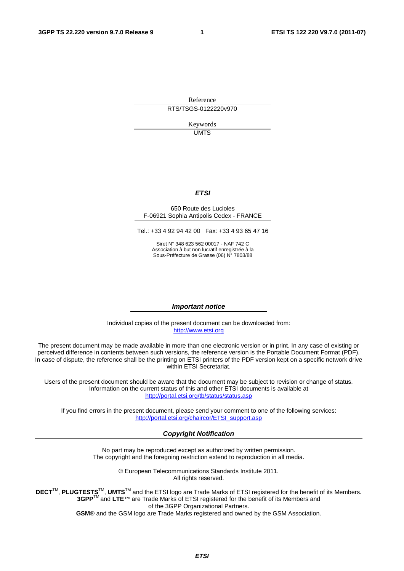Reference RTS/TSGS-0122220v970

> Keywords UMTS

#### *ETSI*

#### 650 Route des Lucioles F-06921 Sophia Antipolis Cedex - FRANCE

Tel.: +33 4 92 94 42 00 Fax: +33 4 93 65 47 16

Siret N° 348 623 562 00017 - NAF 742 C Association à but non lucratif enregistrée à la Sous-Préfecture de Grasse (06) N° 7803/88

#### *Important notice*

Individual copies of the present document can be downloaded from: [http://www.etsi.org](http://www.etsi.org/)

The present document may be made available in more than one electronic version or in print. In any case of existing or perceived difference in contents between such versions, the reference version is the Portable Document Format (PDF). In case of dispute, the reference shall be the printing on ETSI printers of the PDF version kept on a specific network drive within ETSI Secretariat.

Users of the present document should be aware that the document may be subject to revision or change of status. Information on the current status of this and other ETSI documents is available at <http://portal.etsi.org/tb/status/status.asp>

If you find errors in the present document, please send your comment to one of the following services: [http://portal.etsi.org/chaircor/ETSI\\_support.asp](http://portal.etsi.org/chaircor/ETSI_support.asp)

#### *Copyright Notification*

No part may be reproduced except as authorized by written permission. The copyright and the foregoing restriction extend to reproduction in all media.

> © European Telecommunications Standards Institute 2011. All rights reserved.

**DECT**TM, **PLUGTESTS**TM, **UMTS**TM and the ETSI logo are Trade Marks of ETSI registered for the benefit of its Members. **3GPP**TM and **LTE**™ are Trade Marks of ETSI registered for the benefit of its Members and of the 3GPP Organizational Partners.

**GSM**® and the GSM logo are Trade Marks registered and owned by the GSM Association.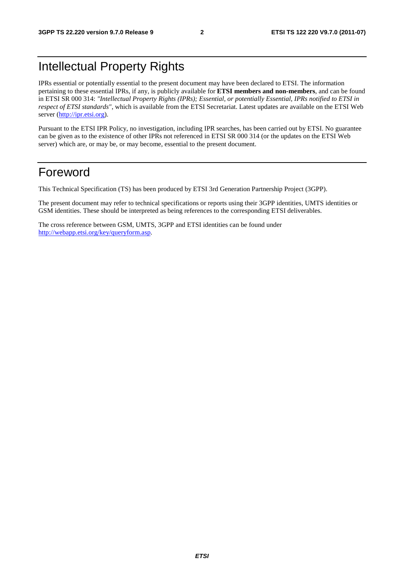# Intellectual Property Rights

IPRs essential or potentially essential to the present document may have been declared to ETSI. The information pertaining to these essential IPRs, if any, is publicly available for **ETSI members and non-members**, and can be found in ETSI SR 000 314: *"Intellectual Property Rights (IPRs); Essential, or potentially Essential, IPRs notified to ETSI in respect of ETSI standards"*, which is available from the ETSI Secretariat. Latest updates are available on the ETSI Web server [\(http://ipr.etsi.org](http://webapp.etsi.org/IPR/home.asp)).

Pursuant to the ETSI IPR Policy, no investigation, including IPR searches, has been carried out by ETSI. No guarantee can be given as to the existence of other IPRs not referenced in ETSI SR 000 314 (or the updates on the ETSI Web server) which are, or may be, or may become, essential to the present document.

### Foreword

This Technical Specification (TS) has been produced by ETSI 3rd Generation Partnership Project (3GPP).

The present document may refer to technical specifications or reports using their 3GPP identities, UMTS identities or GSM identities. These should be interpreted as being references to the corresponding ETSI deliverables.

The cross reference between GSM, UMTS, 3GPP and ETSI identities can be found under [http://webapp.etsi.org/key/queryform.asp.](http://webapp.etsi.org/key/queryform.asp)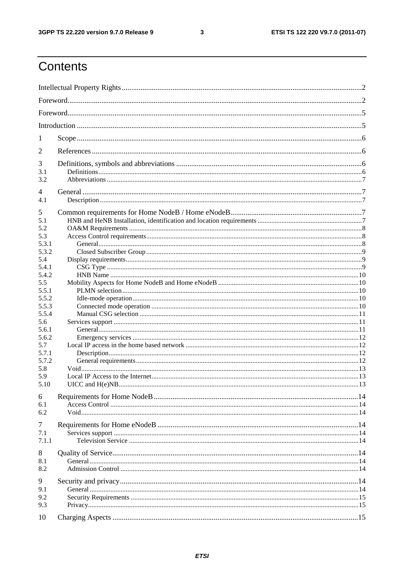#### $\mathbf{3}$

# Contents

| 1          |  |  |  |  |  |  |
|------------|--|--|--|--|--|--|
| 2          |  |  |  |  |  |  |
| 3          |  |  |  |  |  |  |
| 3.1        |  |  |  |  |  |  |
| 3.2        |  |  |  |  |  |  |
| 4<br>4.1   |  |  |  |  |  |  |
|            |  |  |  |  |  |  |
| 5          |  |  |  |  |  |  |
| 5.1<br>5.2 |  |  |  |  |  |  |
| 5.3        |  |  |  |  |  |  |
| 5.3.1      |  |  |  |  |  |  |
| 5.3.2      |  |  |  |  |  |  |
| 5.4        |  |  |  |  |  |  |
| 5.4.1      |  |  |  |  |  |  |
| 5.4.2      |  |  |  |  |  |  |
| 5.5        |  |  |  |  |  |  |
| 5.5.1      |  |  |  |  |  |  |
| 5.5.2      |  |  |  |  |  |  |
| 5.5.3      |  |  |  |  |  |  |
| 5.5.4      |  |  |  |  |  |  |
| 5.6        |  |  |  |  |  |  |
| 5.6.1      |  |  |  |  |  |  |
| 5.6.2      |  |  |  |  |  |  |
| 5.7        |  |  |  |  |  |  |
| 5.7.1      |  |  |  |  |  |  |
| 5.7.2      |  |  |  |  |  |  |
| 5.8        |  |  |  |  |  |  |
| 5.9        |  |  |  |  |  |  |
| 5.10       |  |  |  |  |  |  |
| 6          |  |  |  |  |  |  |
| 6.1        |  |  |  |  |  |  |
| 6.2        |  |  |  |  |  |  |
| 7          |  |  |  |  |  |  |
| 7.1        |  |  |  |  |  |  |
| 7.1.1      |  |  |  |  |  |  |
| 8          |  |  |  |  |  |  |
| 8.1        |  |  |  |  |  |  |
| 8.2        |  |  |  |  |  |  |
| 9          |  |  |  |  |  |  |
|            |  |  |  |  |  |  |
| 9.1        |  |  |  |  |  |  |
| 9.2        |  |  |  |  |  |  |
| 9.3        |  |  |  |  |  |  |
| 10         |  |  |  |  |  |  |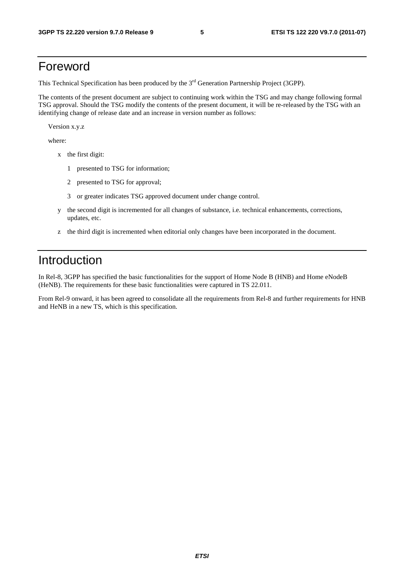### Foreword

This Technical Specification has been produced by the 3<sup>rd</sup> Generation Partnership Project (3GPP).

The contents of the present document are subject to continuing work within the TSG and may change following formal TSG approval. Should the TSG modify the contents of the present document, it will be re-released by the TSG with an identifying change of release date and an increase in version number as follows:

Version x.y.z

where:

- x the first digit:
	- 1 presented to TSG for information;
	- 2 presented to TSG for approval;
	- 3 or greater indicates TSG approved document under change control.
- y the second digit is incremented for all changes of substance, i.e. technical enhancements, corrections, updates, etc.
- z the third digit is incremented when editorial only changes have been incorporated in the document.

# Introduction

In Rel-8, 3GPP has specified the basic functionalities for the support of Home Node B (HNB) and Home eNodeB (HeNB). The requirements for these basic functionalities were captured in TS 22.011.

From Rel-9 onward, it has been agreed to consolidate all the requirements from Rel-8 and further requirements for HNB and HeNB in a new TS, which is this specification.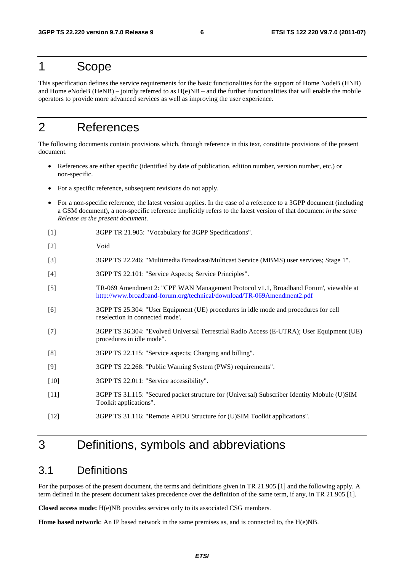### 1 Scope

This specification defines the service requirements for the basic functionalities for the support of Home NodeB (HNB) and Home eNodeB (HeNB) – jointly referred to as  $H(e)NB$  – and the further functionalities that will enable the mobile operators to provide more advanced services as well as improving the user experience.

# 2 References

The following documents contain provisions which, through reference in this text, constitute provisions of the present document.

- References are either specific (identified by date of publication, edition number, version number, etc.) or non-specific.
- For a specific reference, subsequent revisions do not apply.
- For a non-specific reference, the latest version applies. In the case of a reference to a 3GPP document (including a GSM document), a non-specific reference implicitly refers to the latest version of that document *in the same Release as the present document*.
- [1] 3GPP TR 21.905: "Vocabulary for 3GPP Specifications".
- [2] Void
- [3] 3GPP TS 22.246: "Multimedia Broadcast/Multicast Service (MBMS) user services; Stage 1".
- [4] 3GPP TS 22.101: "Service Aspects; Service Principles".
- [5] TR-069 Amendment 2: "CPE WAN Management Protocol v1.1, Broadband Forum', viewable at <http://www.broadband-forum.org/technical/download/TR-069Amendment2.pdf>
- [6] 3GPP TS 25.304: "User Equipment (UE) procedures in idle mode and procedures for cell reselection in connected mode'.
- [7] 3GPP TS 36.304: "Evolved Universal Terrestrial Radio Access (E-UTRA); User Equipment (UE) procedures in idle mode".
- [8] 3GPP TS 22.115: "Service aspects; Charging and billing".
- [9] 3GPP TS 22.268: "Public Warning System (PWS) requirements".
- [10] 3GPP TS 22.011: "Service accessibility".
- [11] 3GPP TS 31.115: "Secured packet structure for (Universal) Subscriber Identity Mobule (U)SIM Toolkit applications".
- [12] 3GPP TS 31.116: "Remote APDU Structure for (U)SIM Toolkit applications".

# 3 Definitions, symbols and abbreviations

#### 3.1 Definitions

For the purposes of the present document, the terms and definitions given in TR 21.905 [1] and the following apply. A term defined in the present document takes precedence over the definition of the same term, if any, in TR 21.905 [1].

**Closed access mode:** H(e)NB provides services only to its associated CSG members.

**Home based network**: An IP based network in the same premises as, and is connected to, the H(e)NB.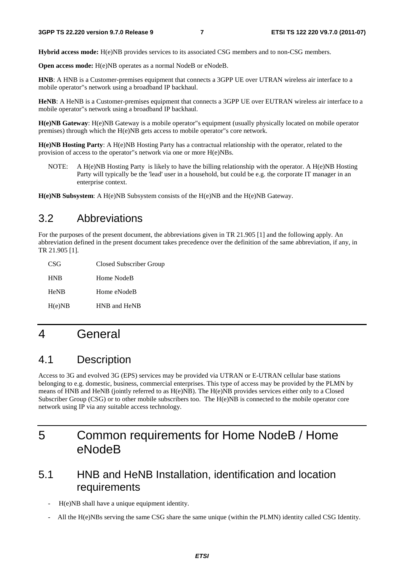**Hybrid access mode:** H(e)NB provides services to its associated CSG members and to non-CSG members.

**Open access mode:** H(e)NB operates as a normal NodeB or eNodeB.

**HNB**: A HNB is a Customer-premises equipment that connects a 3GPP UE over UTRAN wireless air interface to a mobile operator"s network using a broadband IP backhaul.

**HeNB**: A HeNB is a Customer-premises equipment that connects a 3GPP UE over EUTRAN wireless air interface to a mobile operator"s network using a broadband IP backhaul.

**H(e)NB Gateway**: H(e)NB Gateway is a mobile operator"s equipment (usually physically located on mobile operator premises) through which the H(e)NB gets access to mobile operator"s core network.

**H(e)NB Hosting Party**: A H(e)NB Hosting Party has a contractual relationship with the operator, related to the provision of access to the operator"s network via one or more H(e)NBs.

NOTE: A H(e)NB Hosting Party is likely to have the billing relationship with the operator. A H(e)NB Hosting Party will typically be the 'lead' user in a household, but could be e.g. the corporate IT manager in an enterprise context.

**H(e)NB Subsystem**: A H(e)NB Subsystem consists of the H(e)NB and the H(e)NB Gateway.

### 3.2 Abbreviations

For the purposes of the present document, the abbreviations given in TR 21.905 [1] and the following apply. An abbreviation defined in the present document takes precedence over the definition of the same abbreviation, if any, in TR 21.905 [1].

| CSG         | Closed Subscriber Group |
|-------------|-------------------------|
| <b>HNB</b>  | Home NodeB              |
| <b>HeNB</b> | Home eNodeB             |
| H(e)NB      | HNB and HeNB            |

# 4 General

### 4.1 Description

Access to 3G and evolved 3G (EPS) services may be provided via UTRAN or E-UTRAN cellular base stations belonging to e.g. domestic, business, commercial enterprises. This type of access may be provided by the PLMN by means of HNB and HeNB (jointly referred to as H(e)NB). The H(e)NB provides services either only to a Closed Subscriber Group (CSG) or to other mobile subscribers too. The H(e)NB is connected to the mobile operator core network using IP via any suitable access technology.

# 5 Common requirements for Home NodeB / Home eNodeB

### 5.1 HNB and HeNB Installation, identification and location requirements

- H(e)NB shall have a unique equipment identity.
- All the H(e)NBs serving the same CSG share the same unique (within the PLMN) identity called CSG Identity.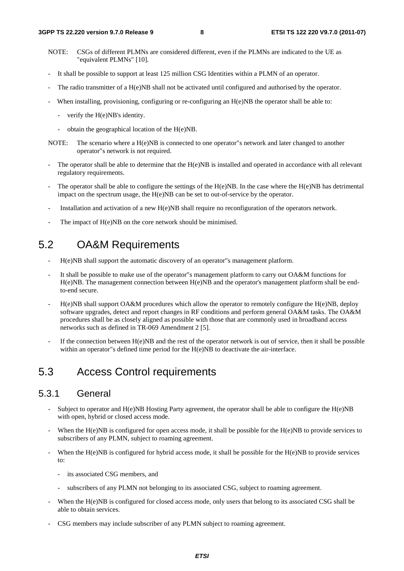- NOTE: CSGs of different PLMNs are considered different, even if the PLMNs are indicated to the UE as "equivalent PLMNs" [10].
- It shall be possible to support at least 125 million CSG Identities within a PLMN of an operator.
- The radio transmitter of a H(e)NB shall not be activated until configured and authorised by the operator.
- When installing, provisioning, configuring or re-configuring an  $H(e)NB$  the operator shall be able to:
	- verify the H(e)NB's identity.
	- obtain the geographical location of the H(e)NB.
- NOTE: The scenario where a H(e)NB is connected to one operator"s network and later changed to another operator"s network is not required.
- The operator shall be able to determine that the H(e)NB is installed and operated in accordance with all relevant regulatory requirements.
- The operator shall be able to configure the settings of the  $H(e)NB$ . In the case where the  $H(e)NB$  has detrimental impact on the spectrum usage, the H(e)NB can be set to out-of-service by the operator.
- Installation and activation of a new H(e)NB shall require no reconfiguration of the operators network.
- The impact of H(e)NB on the core network should be minimised.

### 5.2 OA&M Requirements

- H(e)NB shall support the automatic discovery of an operator"s management platform.
- It shall be possible to make use of the operator"s management platform to carry out OA&M functions for H(e)NB. The management connection between H(e)NB and the operator's management platform shall be endto-end secure.
- H(e)NB shall support OA&M procedures which allow the operator to remotely configure the H(e)NB, deploy software upgrades, detect and report changes in RF conditions and perform general OA&M tasks. The OA&M procedures shall be as closely aligned as possible with those that are commonly used in broadband access networks such as defined in TR-069 Amendment 2 [5].
- If the connection between  $H(e)NB$  and the rest of the operator network is out of service, then it shall be possible within an operator"s defined time period for the H(e)NB to deactivate the air-interface.

### 5.3 Access Control requirements

#### 5.3.1 General

- Subject to operator and  $H(e)NB$  Hosting Party agreement, the operator shall be able to configure the  $H(e)NB$ with open, hybrid or closed access mode.
- When the  $H(e)NB$  is configured for open access mode, it shall be possible for the  $H(e)NB$  to provide services to subscribers of any PLMN, subject to roaming agreement.
- When the H(e)NB is configured for hybrid access mode, it shall be possible for the H(e)NB to provide services to:
	- its associated CSG members, and
	- subscribers of any PLMN not belonging to its associated CSG, subject to roaming agreement.
- When the H(e)NB is configured for closed access mode, only users that belong to its associated CSG shall be able to obtain services.
- CSG members may include subscriber of any PLMN subject to roaming agreement.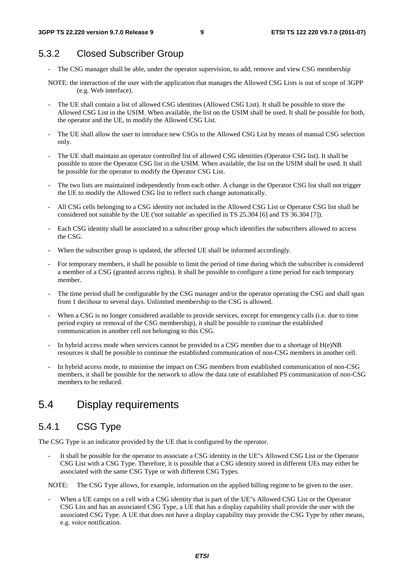### 5.3.2 Closed Subscriber Group

- The CSG manager shall be able, under the operator supervision, to add, remove and view CSG membership
- NOTE: the interaction of the user with the application that manages the Allowed CSG Lists is out of scope of 3GPP (e.g. Web interface).
- The UE shall contain a list of allowed CSG identities (Allowed CSG List). It shall be possible to store the Allowed CSG List in the USIM. When available, the list on the USIM shall be used. It shall be possible for both, the operator and the UE, to modify the Allowed CSG List.
- The UE shall allow the user to introduce new CSGs to the Allowed CSG List by means of manual CSG selection only.
- The UE shall maintain an operator controlled list of allowed CSG identities (Operator CSG list). It shall be possible to store the Operator CSG list in the USIM. When available, the list on the USIM shall be used. It shall be possible for the operator to modify the Operator CSG List.
- The two lists are maintained independently from each other. A change in the Operator CSG list shall not trigger the UE to modify the Allowed CSG list to reflect such change automatically.
- All CSG cells belonging to a CSG identity not included in the Allowed CSG List or Operator CSG list shall be considered not suitable by the UE ('not suitable' as specified in TS 25.304 [6] and TS 36.304 [7]).
- Each CSG identity shall be associated to a subscriber group which identifies the subscribers allowed to access the CSG.
- When the subscriber group is updated, the affected UE shall be informed accordingly.
- For temporary members, it shall be possible to limit the period of time during which the subscriber is considered a member of a CSG (granted access rights). It shall be possible to configure a time period for each temporary member.
- The time period shall be configurable by the CSG manager and/or the operator operating the CSG and shall span from 1 decihour to several days. Unlimited membership to the CSG is allowed.
- When a CSG is no longer considered available to provide services, except for emergency calls (i.e. due to time period expiry or removal of the CSG membership), it shall be possible to continue the established communication in another cell not belonging to this CSG.
- In hybrid access mode when services cannot be provided to a CSG member due to a shortage of  $H(e)NB$ resources it shall be possible to continue the established communication of non-CSG members in another cell.
- In hybrid access mode, to minimise the impact on CSG members from established communication of non-CSG members, it shall be possible for the network to allow the data rate of established PS communication of non-CSG members to be reduced.

### 5.4 Display requirements

### 5.4.1 CSG Type

The CSG Type is an indicator provided by the UE that is configured by the operator.

It shall be possible for the operator to associate a CSG identity in the UE"s Allowed CSG List or the Operator CSG List with a CSG Type. Therefore, it is possible that a CSG identity stored in different UEs may either be associated with the same CSG Type or with different CSG Types.

NOTE: The CSG Type allows, for example, information on the applied billing regime to be given to the user.

When a UE camps on a cell with a CSG identity that is part of the UE"s Allowed CSG List or the Operator CSG List and has an associated CSG Type, a UE that has a display capability shall provide the user with the associated CSG Type. A UE that does not have a display capability may provide the CSG Type by other means, e.g. voice notification.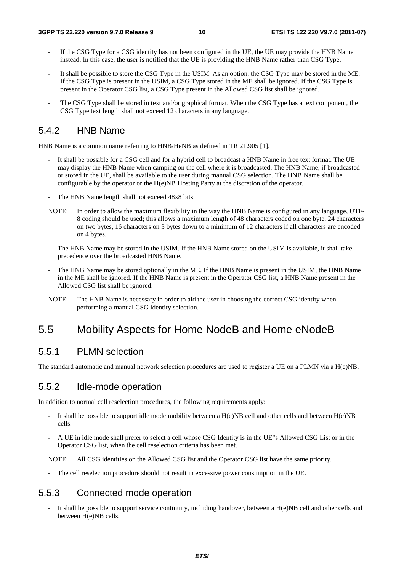- If the CSG Type for a CSG identity has not been configured in the UE, the UE may provide the HNB Name instead. In this case, the user is notified that the UE is providing the HNB Name rather than CSG Type.
- It shall be possible to store the CSG Type in the USIM. As an option, the CSG Type may be stored in the ME. If the CSG Type is present in the USIM, a CSG Type stored in the ME shall be ignored. If the CSG Type is present in the Operator CSG list, a CSG Type present in the Allowed CSG list shall be ignored.
- The CSG Type shall be stored in text and/or graphical format. When the CSG Type has a text component, the CSG Type text length shall not exceed 12 characters in any language.

#### 5.4.2 HNB Name

HNB Name is a common name referring to HNB/HeNB as defined in TR 21.905 [1].

- It shall be possible for a CSG cell and for a hybrid cell to broadcast a HNB Name in free text format. The UE may display the HNB Name when camping on the cell where it is broadcasted. The HNB Name, if broadcasted or stored in the UE, shall be available to the user during manual CSG selection. The HNB Name shall be configurable by the operator or the H(e)NB Hosting Party at the discretion of the operator.
- The HNB Name length shall not exceed 48x8 bits.
- NOTE: In order to allow the maximum flexibility in the way the HNB Name is configured in any language, UTF-8 coding should be used; this allows a maximum length of 48 characters coded on one byte, 24 characters on two bytes, 16 characters on 3 bytes down to a minimum of 12 characters if all characters are encoded on 4 bytes.
- The HNB Name may be stored in the USIM. If the HNB Name stored on the USIM is available, it shall take precedence over the broadcasted HNB Name.
- The HNB Name may be stored optionally in the ME. If the HNB Name is present in the USIM, the HNB Name in the ME shall be ignored. If the HNB Name is present in the Operator CSG list, a HNB Name present in the Allowed CSG list shall be ignored.
- NOTE: The HNB Name is necessary in order to aid the user in choosing the correct CSG identity when performing a manual CSG identity selection.

### 5.5 Mobility Aspects for Home NodeB and Home eNodeB

#### 5.5.1 PLMN selection

The standard automatic and manual network selection procedures are used to register a UE on a PLMN via a H(e)NB.

#### 5.5.2 Idle-mode operation

In addition to normal cell reselection procedures, the following requirements apply:

- It shall be possible to support idle mode mobility between a  $H(e)NB$  cell and other cells and between  $H(e)NB$ cells.
- A UE in idle mode shall prefer to select a cell whose CSG Identity is in the UE"s Allowed CSG List or in the Operator CSG list, when the cell reselection criteria has been met.

NOTE: All CSG identities on the Allowed CSG list and the Operator CSG list have the same priority.

The cell reselection procedure should not result in excessive power consumption in the UE.

#### 5.5.3 Connected mode operation

It shall be possible to support service continuity, including handover, between a  $H(e)NB$  cell and other cells and between H(e)NB cells.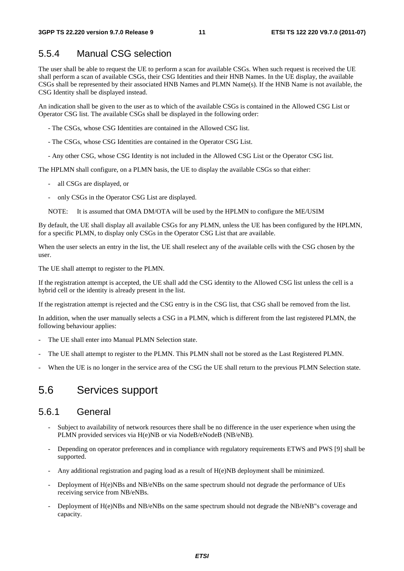### 5.5.4 Manual CSG selection

The user shall be able to request the UE to perform a scan for available CSGs. When such request is received the UE shall perform a scan of available CSGs, their CSG Identities and their HNB Names. In the UE display, the available CSGs shall be represented by their associated HNB Names and PLMN Name(s). If the HNB Name is not available, the CSG Identity shall be displayed instead.

An indication shall be given to the user as to which of the available CSGs is contained in the Allowed CSG List or Operator CSG list. The available CSGs shall be displayed in the following order:

- The CSGs, whose CSG Identities are contained in the Allowed CSG list.

- The CSGs, whose CSG Identities are contained in the Operator CSG List.
- Any other CSG, whose CSG Identity is not included in the Allowed CSG List or the Operator CSG list.

The HPLMN shall configure, on a PLMN basis, the UE to display the available CSGs so that either:

- all CSGs are displayed, or
- only CSGs in the Operator CSG List are displayed.
- NOTE: It is assumed that OMA DM/OTA will be used by the HPLMN to configure the ME/USIM

By default, the UE shall display all available CSGs for any PLMN, unless the UE has been configured by the HPLMN, for a specific PLMN, to display only CSGs in the Operator CSG List that are available.

When the user selects an entry in the list, the UE shall reselect any of the available cells with the CSG chosen by the user.

The UE shall attempt to register to the PLMN.

If the registration attempt is accepted, the UE shall add the CSG identity to the Allowed CSG list unless the cell is a hybrid cell or the identity is already present in the list.

If the registration attempt is rejected and the CSG entry is in the CSG list, that CSG shall be removed from the list.

In addition, when the user manually selects a CSG in a PLMN, which is different from the last registered PLMN, the following behaviour applies:

- The UE shall enter into Manual PLMN Selection state.
- The UE shall attempt to register to the PLMN. This PLMN shall not be stored as the Last Registered PLMN.
- When the UE is no longer in the service area of the CSG the UE shall return to the previous PLMN Selection state.

### 5.6 Services support

#### 5.6.1 General

- Subject to availability of network resources there shall be no difference in the user experience when using the PLMN provided services via H(e)NB or via NodeB/eNodeB (NB/eNB).
- Depending on operator preferences and in compliance with regulatory requirements ETWS and PWS [9] shall be supported.
- Any additional registration and paging load as a result of H(e)NB deployment shall be minimized.
- Deployment of H(e)NBs and NB/eNBs on the same spectrum should not degrade the performance of UEs receiving service from NB/eNBs.
- Deployment of H(e)NBs and NB/eNBs on the same spectrum should not degrade the NB/eNB"s coverage and capacity.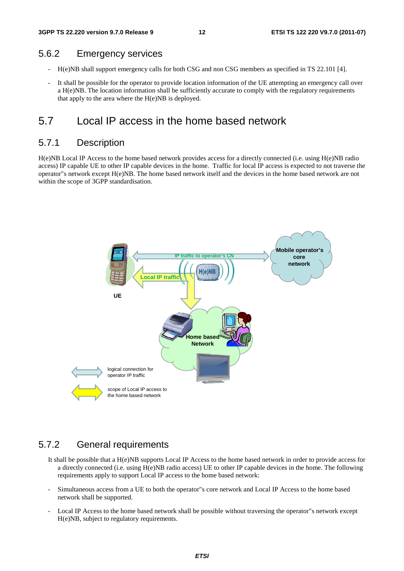#### 5.6.2 Emergency services

- H(e)NB shall support emergency calls for both CSG and non CSG members as specified in TS 22.101 [4].
- It shall be possible for the operator to provide location information of the UE attempting an emergency call over a H(e)NB. The location information shall be sufficiently accurate to comply with the regulatory requirements that apply to the area where the H(e)NB is deployed.

### 5.7 Local IP access in the home based network

#### 5.7.1 Description

H(e)NB Local IP Access to the home based network provides access for a directly connected (i.e. using H(e)NB radio access) IP capable UE to other IP capable devices in the home. Traffic for local IP access is expected to not traverse the operator"s network except H(e)NB. The home based network itself and the devices in the home based network are not within the scope of 3GPP standardisation.



#### 5.7.2 General requirements

- It shall be possible that a H(e)NB supports Local IP Access to the home based network in order to provide access for a directly connected (i.e. using H(e)NB radio access) UE to other IP capable devices in the home. The following requirements apply to support Local IP access to the home based network:
- Simultaneous access from a UE to both the operator"s core network and Local IP Access to the home based network shall be supported.
- Local IP Access to the home based network shall be possible without traversing the operator"s network except H(e)NB, subject to regulatory requirements.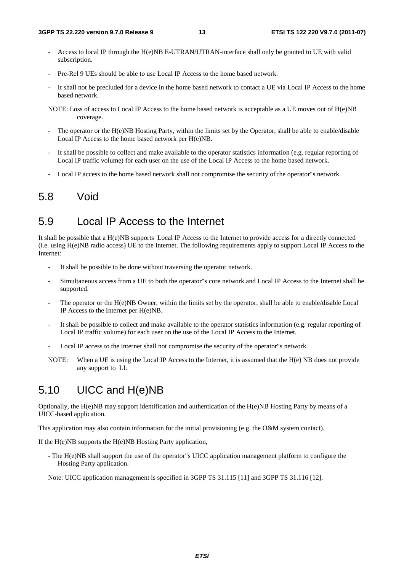- Access to local IP through the H(e)NB E-UTRAN/UTRAN-interface shall only be granted to UE with valid subscription.
- Pre-Rel 9 UEs should be able to use Local IP Access to the home based network.
- It shall not be precluded for a device in the home based network to contact a UE via Local IP Access to the home based network.
- NOTE: Loss of access to Local IP Access to the home based network is acceptable as a UE moves out of H(e)NB coverage.
- The operator or the H(e)NB Hosting Party, within the limits set by the Operator, shall be able to enable/disable Local IP Access to the home based network per H(e)NB.
- It shall be possible to collect and make available to the operator statistics information (e.g. regular reporting of Local IP traffic volume) for each user on the use of the Local IP Access to the home based network.
- Local IP access to the home based network shall not compromise the security of the operator"s network.

### 5.8 Void

### 5.9 Local IP Access to the Internet

It shall be possible that a H(e)NB supports Local IP Access to the Internet to provide access for a directly connected (i.e. using H(e)NB radio access) UE to the Internet. The following requirements apply to support Local IP Access to the Internet:

- It shall be possible to be done without traversing the operator network.
- Simultaneous access from a UE to both the operator"s core network and Local IP Access to the Internet shall be supported.
- The operator or the H(e)NB Owner, within the limits set by the operator, shall be able to enable/disable Local IP Access to the Internet per H(e)NB.
- It shall be possible to collect and make available to the operator statistics information (e.g. regular reporting of Local IP traffic volume) for each user on the use of the Local IP Access to the Internet.
- Local IP access to the internet shall not compromise the security of the operator"s network.
- NOTE: When a UE is using the Local IP Access to the Internet, it is assumed that the H(e) NB does not provide any support to LI.

# 5.10 UICC and H(e)NB

Optionally, the H(e)NB may support identification and authentication of the H(e)NB Hosting Party by means of a UICC-based application.

This application may also contain information for the initial provisioning (e.g. the O&M system contact).

If the H(e)NB supports the H(e)NB Hosting Party application,

- The H(e)NB shall support the use of the operator"s UICC application management platform to configure the Hosting Party application.

Note: UICC application management is specified in 3GPP TS 31.115 [11] and 3GPP TS 31.116 [12].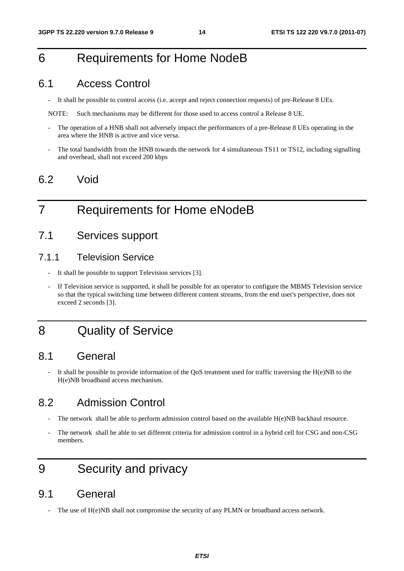# 6 Requirements for Home NodeB

### 6.1 Access Control

- It shall be possible to control access (i.e. accept and reject connection requests) of pre-Release 8 UEs.

NOTE: Such mechanisms may be different for those used to access control a Release 8 UE.

- The operation of a HNB shall not adversely impact the performances of a pre-Release 8 UEs operating in the area where the HNB is active and vice versa.
- The total bandwidth from the HNB towards the network for 4 simultaneous TS11 or TS12, including signalling and overhead, shall not exceed 200 kbps

### 6.2 Void

# 7 Requirements for Home eNodeB

### 7.1 Services support

#### 7.1.1 Television Service

- It shall be possible to support Television services [3].
- If Television service is supported, it shall be possible for an operator to configure the MBMS Television service so that the typical switching time between different content streams, from the end user's perspective, does not exceed 2 seconds [3].

# 8 Quality of Service

### 8.1 General

It shall be possible to provide information of the QoS treatment used for traffic traversing the  $H(e)NB$  to the H(e)NB broadband access mechanism.

### 8.2 Admission Control

- The network shall be able to perform admission control based on the available H(e)NB backhaul resource.
- The network shall be able to set different criteria for admission control in a hybrid cell for CSG and non-CSG members.

# 9 Security and privacy

### 9.1 General

The use of  $H(e)NB$  shall not compromise the security of any PLMN or broadband access network.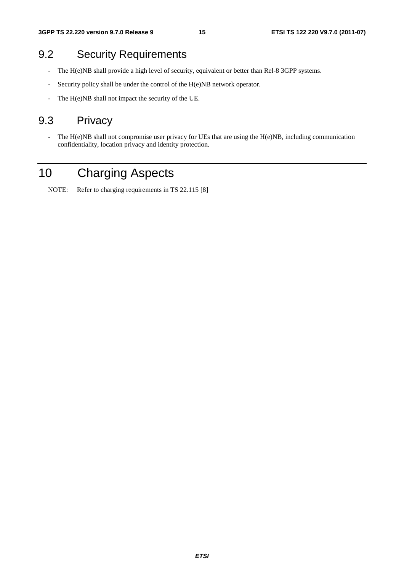### 9.2 Security Requirements

- The H(e)NB shall provide a high level of security, equivalent or better than Rel-8 3GPP systems.
- Security policy shall be under the control of the H(e)NB network operator.
- The H(e)NB shall not impact the security of the UE.

### 9.3 Privacy

- The H(e)NB shall not compromise user privacy for UEs that are using the H(e)NB, including communication confidentiality, location privacy and identity protection.

# 10 Charging Aspects

NOTE: Refer to charging requirements in TS 22.115 [8]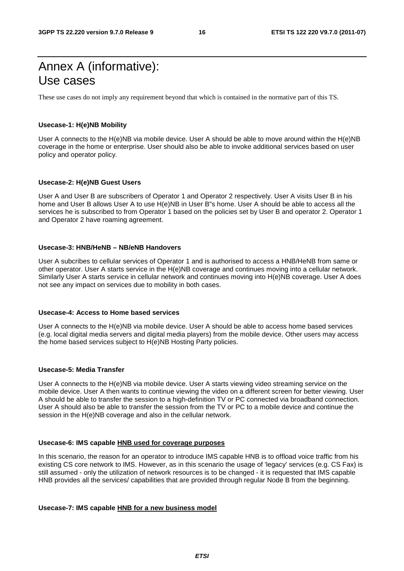# Annex A (informative): Use cases

These use cases do not imply any requirement beyond that which is contained in the normative part of this TS.

#### **Usecase-1: H(e)NB Mobility**

User A connects to the H(e)NB via mobile device. User A should be able to move around within the H(e)NB coverage in the home or enterprise. User should also be able to invoke additional services based on user policy and operator policy.

#### **Usecase-2: H(e)NB Guest Users**

User A and User B are subscribers of Operator 1 and Operator 2 respectively. User A visits User B in his home and User B allows User A to use H(e)NB in User B"s home. User A should be able to access all the services he is subscribed to from Operator 1 based on the policies set by User B and operator 2. Operator 1 and Operator 2 have roaming agreement.

#### **Usecase-3: HNB/HeNB – NB/eNB Handovers**

User A subcribes to cellular services of Operator 1 and is authorised to access a HNB/HeNB from same or other operator. User A starts service in the H(e)NB coverage and continues moving into a cellular network. Similarly User A starts service in cellular network and continues moving into H(e)NB coverage. User A does not see any impact on services due to mobility in both cases.

#### **Usecase-4: Access to Home based services**

User A connects to the H(e)NB via mobile device. User A should be able to access home based services (e.g. local digital media servers and digital media players) from the mobile device. Other users may access the home based services subject to H(e)NB Hosting Party policies.

#### **Usecase-5: Media Transfer**

User A connects to the H(e)NB via mobile device. User A starts viewing video streaming service on the mobile device. User A then wants to continue viewing the video on a different screen for better viewing. User A should be able to transfer the session to a high-definition TV or PC connected via broadband connection. User A should also be able to transfer the session from the TV or PC to a mobile device and continue the session in the H(e)NB coverage and also in the cellular network.

#### **Usecase-6: IMS capable HNB used for coverage purposes**

In this scenario, the reason for an operator to introduce IMS capable HNB is to offload voice traffic from his existing CS core network to IMS. However, as in this scenario the usage of 'legacy' services (e.g. CS Fax) is still assumed - only the utilization of network resources is to be changed - it is requested that IMS capable HNB provides all the services/ capabilities that are provided through regular Node B from the beginning.

#### **Usecase-7: IMS capable HNB for a new business model**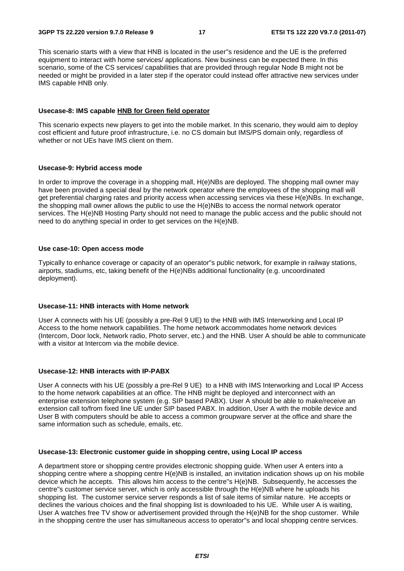This scenario starts with a view that HNB is located in the user"s residence and the UE is the preferred equipment to interact with home services/ applications. New business can be expected there. In this scenario, some of the CS services/ capabilities that are provided through regular Node B might not be needed or might be provided in a later step if the operator could instead offer attractive new services under IMS capable HNB only.

#### **Usecase-8: IMS capable HNB for Green field operator**

This scenario expects new players to get into the mobile market. In this scenario, they would aim to deploy cost efficient and future proof infrastructure, i.e. no CS domain but IMS/PS domain only, regardless of whether or not UEs have IMS client on them.

#### **Usecase-9: Hybrid access mode**

In order to improve the coverage in a shopping mall, H(e)NBs are deployed. The shopping mall owner may have been provided a special deal by the network operator where the employees of the shopping mall will get preferential charging rates and priority access when accessing services via these H(e)NBs. In exchange, the shopping mall owner allows the public to use the H(e)NBs to access the normal network operator services. The H(e)NB Hosting Party should not need to manage the public access and the public should not need to do anything special in order to get services on the H(e)NB.

#### **Use case-10: Open access mode**

Typically to enhance coverage or capacity of an operator"s public network, for example in railway stations, airports, stadiums, etc, taking benefit of the H(e)NBs additional functionality (e.g. uncoordinated deployment).

#### **Usecase-11: HNB interacts with Home network**

User A connects with his UE (possibly a pre-Rel 9 UE) to the HNB with IMS Interworking and Local IP Access to the home network capabilities. The home network accommodates home network devices (Intercom, Door lock, Network radio, Photo server, etc.) and the HNB. User A should be able to communicate with a visitor at Intercom via the mobile device.

#### **Usecase-12: HNB interacts with IP-PABX**

User A connects with his UE (possibly a pre-Rel 9 UE) to a HNB with IMS Interworking and Local IP Access to the home network capabilities at an office. The HNB might be deployed and interconnect with an enterprise extension telephone system (e.g. SIP based PABX). User A should be able to make/receive an extension call to/from fixed line UE under SIP based PABX. In addition, User A with the mobile device and User B with computers should be able to access a common groupware server at the office and share the same information such as schedule, emails, etc.

#### **Usecase-13: Electronic customer guide in shopping centre, using Local IP access**

A department store or shopping centre provides electronic shopping guide. When user A enters into a shopping centre where a shopping centre H(e)NB is installed, an invitation indication shows up on his mobile device which he accepts. This allows him access to the centre"s H(e)NB. Subsequently, he accesses the centre"s customer service server, which is only accessible through the H(e)NB where he uploads his shopping list. The customer service server responds a list of sale items of similar nature. He accepts or declines the various choices and the final shopping list is downloaded to his UE. While user A is waiting, User A watches free TV show or advertisement provided through the H(e)NB for the shop customer. While in the shopping centre the user has simultaneous access to operator"s and local shopping centre services.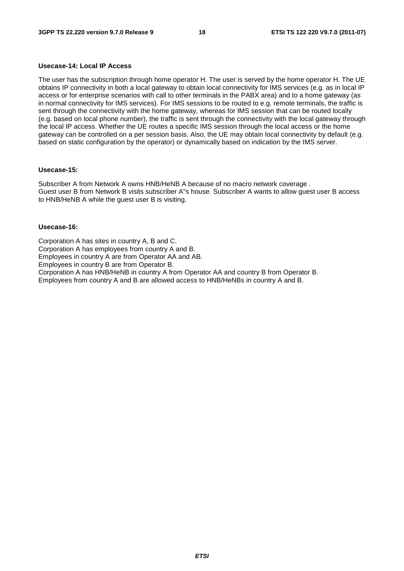#### **Usecase-14: Local IP Access**

The user has the subscription through home operator H. The user is served by the home operator H. The UE obtains IP connectivity in both a local gateway to obtain local connectivity for IMS services (e.g. as in local IP access or for enterprise scenarios with call to other terminals in the PABX area) and to a home gateway (as in normal connectivity for IMS services). For IMS sessions to be routed to e.g. remote terminals, the traffic is sent through the connectivity with the home gateway, whereas for IMS session that can be routed locally (e.g. based on local phone number), the traffic is sent through the connectivity with the local gateway through the local IP access. Whether the UE routes a specific IMS session through the local access or the home gateway can be controlled on a per session basis. Also, the UE may obtain local connectivity by default (e.g. based on static configuration by the operator) or dynamically based on indication by the IMS server.

#### **Usecase-15:**

Subscriber A from Network A owns HNB/HeNB A because of no macro network coverage . Guest user B from Network B visits subscriber A"s house. Subscriber A wants to allow guest user B access to HNB/HeNB A while the guest user B is visiting.

#### **Usecase-16:**

Corporation A has sites in country A, B and C. Corporation A has employees from country A and B. Employees in country A are from Operator AA and AB. Employees in country B are from Operator B. Corporation A has HNB/HeNB in country A from Operator AA and country B from Operator B. Employees from country A and B are allowed access to HNB/HeNBs in country A and B.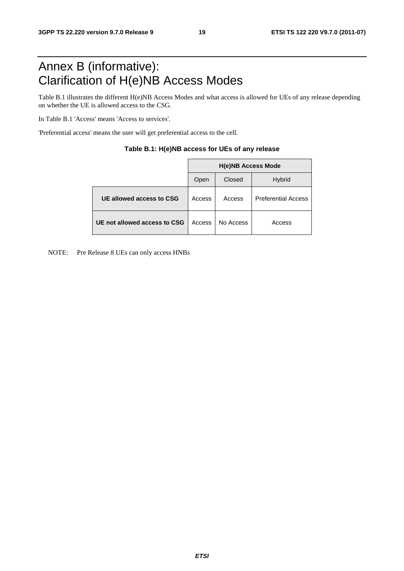# Annex B (informative): Clarification of H(e)NB Access Modes

Table B.1 illustrates the different H(e)NB Access Modes and what access is allowed for UEs of any release depending on whether the UE is allowed access to the CSG.

In Table B.1 'Access' means 'Access to services'.

'Preferential access' means the user will get preferential access to the cell.

|                              | <b>H(e)NB Access Mode</b> |           |                            |  |  |  |
|------------------------------|---------------------------|-----------|----------------------------|--|--|--|
|                              | Open                      | Closed    | <b>Hybrid</b>              |  |  |  |
| UE allowed access to CSG     | Access                    | Access    | <b>Preferential Access</b> |  |  |  |
| UE not allowed access to CSG | Access                    | No Access | Access                     |  |  |  |

| Table B.1: H(e)NB access for UEs of any release |  |  |  |
|-------------------------------------------------|--|--|--|
|-------------------------------------------------|--|--|--|

NOTE: Pre Release 8 UEs can only access HNBs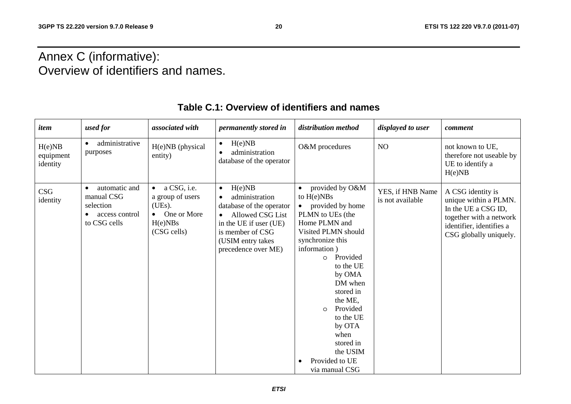# Annex C (informative): Overview of identifiers and names.

| item                            | used for                                                                                | associated with                                                                                        | permanently stored in                                                                                                                                                                        | distribution method                                                                                                                                                                                                                                                                                                                                      | displayed to user                    | comment                                                                                                                                            |
|---------------------------------|-----------------------------------------------------------------------------------------|--------------------------------------------------------------------------------------------------------|----------------------------------------------------------------------------------------------------------------------------------------------------------------------------------------------|----------------------------------------------------------------------------------------------------------------------------------------------------------------------------------------------------------------------------------------------------------------------------------------------------------------------------------------------------------|--------------------------------------|----------------------------------------------------------------------------------------------------------------------------------------------------|
| H(e)NB<br>equipment<br>identity | administrative<br>purposes                                                              | H(e)NB (physical<br>entity)                                                                            | H(e)NB<br>$\bullet$<br>administration<br>database of the operator                                                                                                                            | O&M procedures                                                                                                                                                                                                                                                                                                                                           | NO                                   | not known to UE,<br>therefore not useable by<br>UE to identify a<br>H(e)NB                                                                         |
| CSG<br>identity                 | automatic and<br>$\bullet$<br>manual CSG<br>selection<br>access control<br>to CSG cells | $\bullet$ a CSG, i.e.<br>a group of users<br>(UEs).<br>$\bullet$ One or More<br>H(e)NBs<br>(CSG cells) | H(e)NB<br>$\bullet$<br>administration<br>database of the operator<br>Allowed CSG List<br>$\bullet$<br>in the UE if user (UE)<br>is member of CSG<br>(USIM entry takes<br>precedence over ME) | provided by O&M<br>to $H(e)NBs$<br>provided by home<br>PLMN to UEs (the<br>Home PLMN and<br>Visited PLMN should<br>synchronize this<br>information)<br>Provided<br>$\Omega$<br>to the UE<br>by OMA<br>DM when<br>stored in<br>the ME,<br>Provided<br>$\circ$<br>to the UE<br>by OTA<br>when<br>stored in<br>the USIM<br>Provided to UE<br>via manual CSG | YES, if HNB Name<br>is not available | A CSG identity is<br>unique within a PLMN.<br>In the UE a CSG ID,<br>together with a network<br>identifier, identifies a<br>CSG globally uniquely. |

### **Table C.1: Overview of identifiers and names**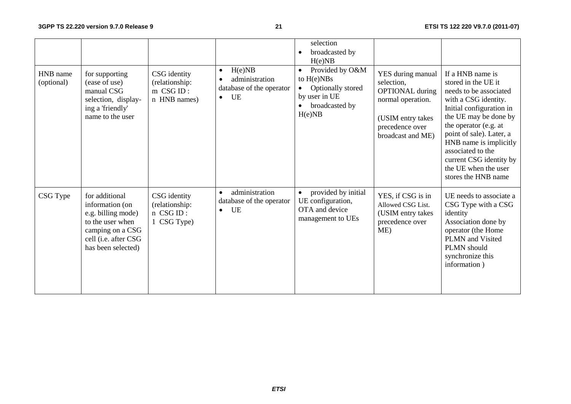|                        |                                                                                                                                               |                                                               |                                                                                      | selection<br>broadcasted by<br>H(e)NB                                                                          |                                                                                                                                             |                                                                                                                                                                                                                                                                                                                              |
|------------------------|-----------------------------------------------------------------------------------------------------------------------------------------------|---------------------------------------------------------------|--------------------------------------------------------------------------------------|----------------------------------------------------------------------------------------------------------------|---------------------------------------------------------------------------------------------------------------------------------------------|------------------------------------------------------------------------------------------------------------------------------------------------------------------------------------------------------------------------------------------------------------------------------------------------------------------------------|
| HNB name<br>(optional) | for supporting<br>(ease of use)<br>manual CSG<br>selection, display-<br>ing a 'friendly'<br>name to the user                                  | CSG identity<br>(relationship:<br>$m$ CSG ID:<br>n HNB names) | H(e)NB<br>$\bullet$<br>administration<br>database of the operator<br>UE<br>$\bullet$ | Provided by O&M<br>$\bullet$<br>to $H(e)NBs$<br>Optionally stored<br>by user in UE<br>broadcasted by<br>H(e)NB | YES during manual<br>selection,<br><b>OPTIONAL</b> during<br>normal operation.<br>(USIM entry takes<br>precedence over<br>broadcast and ME) | If a HNB name is<br>stored in the UE it<br>needs to be associated<br>with a CSG identity.<br>Initial configuration in<br>the UE may be done by<br>the operator (e.g. at<br>point of sale). Later, a<br>HNB name is implicitly<br>associated to the<br>current CSG identity by<br>the UE when the user<br>stores the HNB name |
| CSG Type               | for additional<br>information (on<br>e.g. billing mode)<br>to the user when<br>camping on a CSG<br>cell (i.e. after CSG<br>has been selected) | CSG identity<br>(relationship:<br>n CSG ID:<br>1 CSG Type)    | administration<br>$\bullet$<br>database of the operator<br><b>UE</b><br>$\bullet$    | provided by initial<br>UE configuration,<br>OTA and device<br>management to UEs                                | YES, if CSG is in<br>Allowed CSG List.<br>(USIM entry takes<br>precedence over<br>ME)                                                       | UE needs to associate a<br>CSG Type with a CSG<br>identity<br>Association done by<br>operator (the Home<br>PLMN and Visited<br>PLMN should<br>synchronize this<br>information)                                                                                                                                               |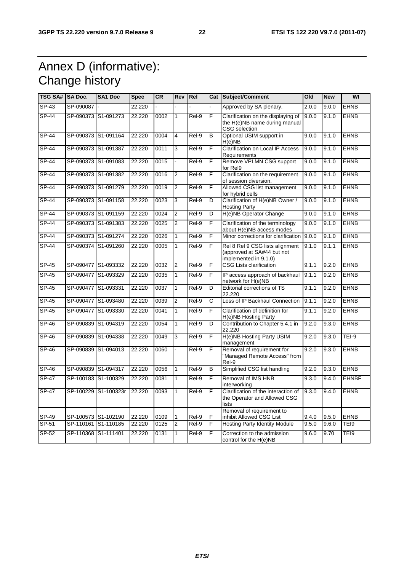# Annex D (informative): Change history

| TSG SA#  SA Doc.   |           | SA1 Doc             | <b>Spec</b> | <b>CR</b> | Rev            | Re <sub>l</sub> |    | Cat Subject/Comment                                                                    | Old   | <b>New</b> | WI           |
|--------------------|-----------|---------------------|-------------|-----------|----------------|-----------------|----|----------------------------------------------------------------------------------------|-------|------------|--------------|
| $SP-43$            | SP-090087 |                     | 22.220      |           |                |                 |    | Approved by SA plenary.                                                                | 2.0.0 | 9.0.0      | <b>EHNB</b>  |
| $SP-44$            | SP-090373 | S1-091273           | 22.220      | 0002      | $\mathbf{1}$   | Rel-9           | F  | Clarification on the displaying of<br>the H(e)NB name during manual<br>CSG selection   | 9.0.0 | 9.1.0      | <b>EHNB</b>  |
| SP-44              |           | SP-090373 S1-091164 | 22.220      | 0004      | 4              | Rel-9           | B  | Optional USIM support in<br>H(e)NB                                                     | 9.0.0 | 9.1.0      | <b>EHNB</b>  |
| $SP-44$            |           | SP-090373 S1-091387 | 22.220      | 0011      | 3              | Rel-9           | F  | <b>Clarification on Local IP Access</b><br>Requirements                                | 9.0.0 | 9.1.0      | <b>EHNB</b>  |
| <b>SP-44</b>       | SP-090373 | S1-091083           | 22.220      | 0015      |                | Rel-9           | F  | Remove VPLMN CSG support<br>for Rel9                                                   | 9.0.0 | 9.1.0      | <b>EHNB</b>  |
| $\overline{SP-44}$ |           | SP-090373 S1-091382 | 22.220      | 0016      | $\overline{2}$ | Rel-9           | F  | Clarification on the requirement<br>of session diversion.                              | 9.0.0 | 9.1.0      | <b>EHNB</b>  |
| SP-44              |           | SP-090373 S1-091279 | 22.220      | 0019      | $\overline{2}$ | Rel-9           | F  | Allowed CSG list management<br>for hybrid cells                                        | 9.0.0 | 9.1.0      | <b>EHNB</b>  |
| <b>SP-44</b>       |           | SP-090373 S1-091158 | 22.220      | 0023      | 3              | Rel-9           | D  | Clarification of H(e)NB Owner /<br><b>Hosting Party</b>                                | 9.0.0 | 9.1.0      | <b>EHNB</b>  |
| <b>SP-44</b>       |           | SP-090373 S1-091159 | 22.220      | 0024      | $\overline{2}$ | Rel-9           | D  | H(e)NB Operator Change                                                                 | 9.0.0 | 9.1.0      | <b>EHNB</b>  |
| $SP-44$            |           | SP-090373 S1-091383 | 22.220      | 0025      | $\overline{2}$ | Rel-9           | F  | Clarification of the terminology<br>about H(e)NB access modes                          | 9.0.0 | 9.1.0      | <b>EHNB</b>  |
| $\overline{SP-44}$ | SP-090373 | S1-091274           | 22.220      | 0026      | $\overline{1}$ | Rel-9           | F  | Minor corrections for clarification                                                    | 9.0.0 | 9.1.0      | <b>EHNB</b>  |
| $SP-44$            |           | SP-090374 S1-091260 | 22.220      | 0005      | 1              | Rel-9           | F  | Rel 8 Rel 9 CSG lists alignment<br>(approved at SA#44 but not<br>implemented in 9.1.0) | 9.1.0 | 9.1.1      | <b>EHNB</b>  |
| <b>SP-45</b>       | SP-090477 | S1-093332           | 22.220      | 0032      | $\overline{2}$ | Rel-9           | F  | <b>CSG Lists clarification</b>                                                         | 9.1.1 | 9.2.0      | <b>EHNB</b>  |
| $SP-45$            | SP-090477 | S1-093329           | 22.220      | 0035      | 1              | Rel-9           | F  | IP access approach of backhaul<br>network for H(e)NB                                   | 9.1.1 | 9.2.0      | <b>EHNB</b>  |
| $SP-45$            |           | SP-090477 S1-093331 | 22.220      | 0037      | 1              | Rel-9           | D  | <b>Editorial corrections of TS</b><br>22.220                                           | 9.1.1 | 9.2.0      | <b>EHNB</b>  |
| $SP-45$            | SP-090477 | S1-093480           | 22.220      | 0039      | $\overline{2}$ | Rel-9           | C  | Loss of IP Backhaul Connection                                                         | 9.1.1 | 9.2.0      | <b>EHNB</b>  |
| <b>SP-45</b>       | SP-090477 | S1-093330           | 22.220      | 0041      | $\mathbf{1}$   | Rel-9           | F. | Clarification of definition for<br>H(e)NB Hosting Party                                | 9.1.1 | 9.2.0      | <b>EHNB</b>  |
| SP-46              | SP-090839 | S1-094319           | 22.220      | 0054      | 1              | Rel-9           | D  | Contribution to Chapter 5.4.1 in<br>22.220                                             | 9.2.0 | 9.3.0      | <b>EHNB</b>  |
| SP-46              | SP-090839 | S1-094338           | 22.220      | 0049      | 3              | Rel-9           | F  | H(e)NB Hosting Party USIM<br>management                                                | 9.2.0 | 9.3.0      | TEI-9        |
| SP-46              | SP-090839 | S1-094013           | 22.220      | 0060      |                | Rel-9           | F  | Removal of requirement for<br>"Managed Remote Access" from<br>Rel-9                    | 9.2.0 | 9.3.0      | <b>EHNB</b>  |
| SP-46              |           | SP-090839 S1-094317 | 22.220      | 0056      | $\mathbf{1}$   | Rel-9           | B  | Simplified CSG list handling                                                           | 9.2.0 | 9.3.0      | <b>EHNB</b>  |
| <b>SP-47</b>       |           | SP-100183 S1-100329 | 22.220      | 0081      | 1              | Rel-9           | F  | Removal of IMS HNB<br>interworkina                                                     | 9.3.0 | 9.4.0      | <b>EHNBF</b> |
| <b>SP-47</b>       | SP-100229 | S1-100323r          | 22.220      | 0093      | 1              | Rel-9           | F  | Clarification of the interaction of<br>the Operator and Allowed CSG<br>lists           | 9.3.0 | 9.4.0      | <b>EHNB</b>  |
| SP-49              |           | SP-100573 S1-102190 | 22.220      | 0109      | 1              | Rel-9           | F  | Removal of requirement to<br>inhibit Allowed CSG List                                  | 9.4.0 | 9.5.0      | <b>EHNB</b>  |
| SP-51              | SP-110161 | S1-110185           | 22.220      | 0125      | $\overline{2}$ | Rel-9           | F  | <b>Hosting Party Identity Module</b>                                                   | 9.5.0 | 9.6.0      | TEI9         |
| SP-52              | SP-110368 | S1-111401           | 22.220      | 0131      | $\mathbf{1}$   | Rel-9           | F  | Correction to the admission<br>control for the H(e)NB                                  | 9.6.0 | 9.70       | TEI9         |